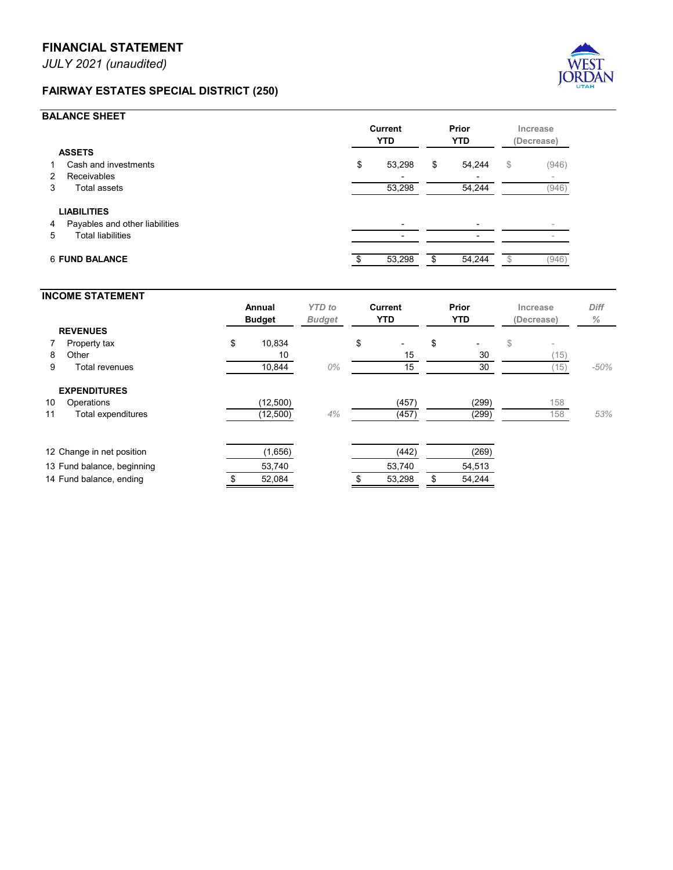*JULY 2021 (unaudited)*

## **FAIRWAY ESTATES SPECIAL DISTRICT (250)**



## **BALANCE SHEET**

|                                                                                             | <b>Current</b><br><b>YTD</b> |                          | Prior<br><b>YTD</b> |        | Increase<br>(Decrease) |                          |
|---------------------------------------------------------------------------------------------|------------------------------|--------------------------|---------------------|--------|------------------------|--------------------------|
| <b>ASSETS</b>                                                                               |                              |                          |                     |        |                        |                          |
| Cash and investments                                                                        | \$                           | 53,298                   | \$                  | 54,244 | $\mathbb{S}$           | (946)                    |
| <b>Receivables</b><br>$\mathbf{2}^{\circ}$                                                  |                              | $\overline{\phantom{0}}$ |                     |        |                        | $\overline{\phantom{a}}$ |
| <b>Total assets</b><br>3                                                                    |                              | 53,298                   |                     | 54,244 |                        | (946)                    |
| <b>LIABILITIES</b><br>Payables and other liabilities<br>4<br><b>Total liabilities</b><br>5. |                              |                          |                     |        |                        |                          |
| <b>6 FUND BALANCE</b>                                                                       |                              | 53,298                   | \$                  | 54,244 |                        | (946)                    |

## **INCOME STATEMENT Annual** *YTD to* **Current Prior Increase** *Diff* **Budget** *Budget* **YTD YTD (Decrease)** *%* **REVENUES** 7 Property tax \$ 10,834 \$ - \$ - \$ -8 Other 15 30 (15) 9 Total revenues 10,844 *0%* 15 30 (15) *-50%* **EXPENDITURES 10 Operations (12,500) (457) (299) 158** 11 Total expenditures **12,500** 4% (12,500) **4%** (457) 158 53% 12 Change in net position (1,656) (1,656) (442) (269) 13 Fund balance, beginning 53,740 53,740 54,513 14 Fund balance, ending  $$52,084$   $$53,298$  \$54,244